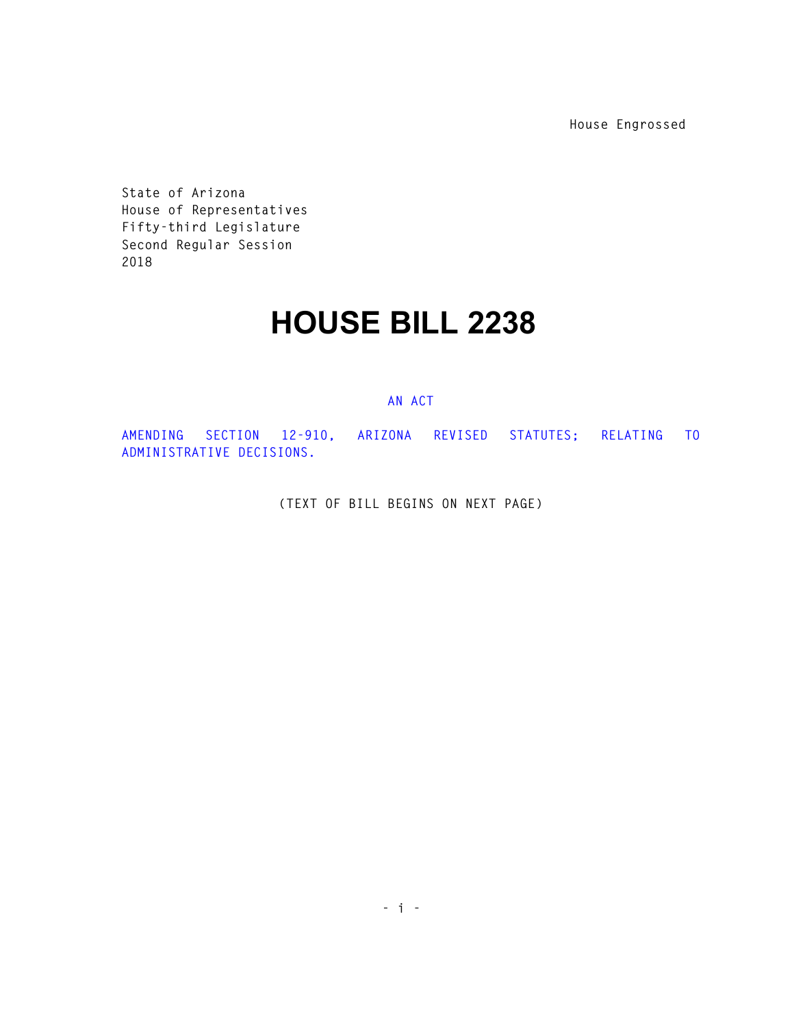**House Engrossed** 

**State of Arizona House of Representatives Fifty-third Legislature Second Regular Session 2018** 

## **HOUSE BILL 2238**

## **AN ACT**

**AMENDING SECTION 12-910, ARIZONA REVISED STATUTES; RELATING TO ADMINISTRATIVE DECISIONS.** 

**(TEXT OF BILL BEGINS ON NEXT PAGE)**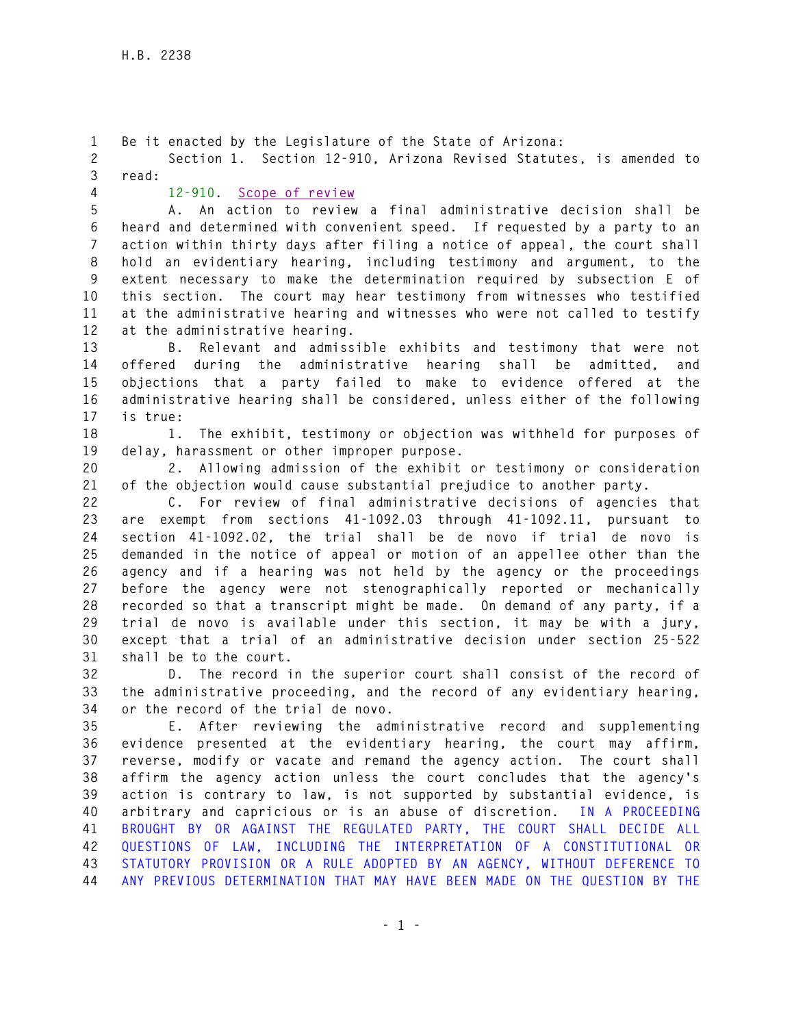**1 Be it enacted by the Legislature of the State of Arizona: 2 Section 1. Section 12-910, Arizona Revised Statutes, is amended to 3 read: 4 12-910. Scope of review 5 A. An action to review a final administrative decision shall be 6 heard and determined with convenient speed. If requested by a party to an 7 action within thirty days after filing a notice of appeal, the court shall 8 hold an evidentiary hearing, including testimony and argument, to the 9 extent necessary to make the determination required by subsection E of 10 this section. The court may hear testimony from witnesses who testified 11 at the administrative hearing and witnesses who were not called to testify 12 at the administrative hearing. 13 B. Relevant and admissible exhibits and testimony that were not 14 offered during the administrative hearing shall be admitted, and 15 objections that a party failed to make to evidence offered at the 16 administrative hearing shall be considered, unless either of the following 17 is true: 18 1. The exhibit, testimony or objection was withheld for purposes of 19 delay, harassment or other improper purpose. 20 2. Allowing admission of the exhibit or testimony or consideration 21 of the objection would cause substantial prejudice to another party. 22 C. For review of final administrative decisions of agencies that 23 are exempt from sections 41-1092.03 through 41-1092.11, pursuant to 24 section 41-1092.02, the trial shall be de novo if trial de novo is 25 demanded in the notice of appeal or motion of an appellee other than the 26 agency and if a hearing was not held by the agency or the proceedings 27 before the agency were not stenographically reported or mechanically 28 recorded so that a transcript might be made. On demand of any party, if a 29 trial de novo is available under this section, it may be with a jury, 30 except that a trial of an administrative decision under section 25-522 31 shall be to the court. 32 D. The record in the superior court shall consist of the record of 33 the administrative proceeding, and the record of any evidentiary hearing, 34 or the record of the trial de novo. 35 E. After reviewing the administrative record and supplementing 36 evidence presented at the evidentiary hearing, the court may affirm, 37 reverse, modify or vacate and remand the agency action. The court shall 38 affirm the agency action unless the court concludes that the agency's 39 action is contrary to law, is not supported by substantial evidence, is 40 arbitrary and capricious or is an abuse of discretion. IN A PROCEEDING 41 BROUGHT BY OR AGAINST THE REGULATED PARTY, THE COURT SHALL DECIDE ALL 42 QUESTIONS OF LAW, INCLUDING THE INTERPRETATION OF A CONSTITUTIONAL OR 43 STATUTORY PROVISION OR A RULE ADOPTED BY AN AGENCY, WITHOUT DEFERENCE TO 44 ANY PREVIOUS DETERMINATION THAT MAY HAVE BEEN MADE ON THE QUESTION BY THE**